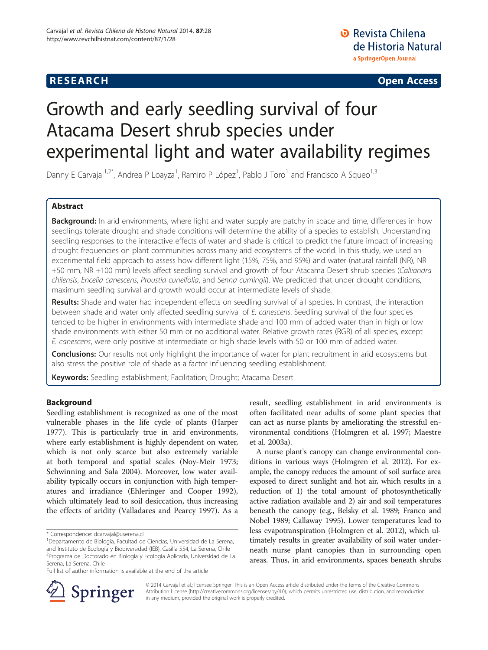## **RESEARCH CHE Open Access**

# Growth and early seedling survival of four Atacama Desert shrub species under experimental light and water availability regimes

Danny E Carvajal<sup>1,2\*</sup>, Andrea P Loayza<sup>1</sup>, Ramiro P López<sup>1</sup>, Pablo J Toro<sup>1</sup> and Francisco A Squeo<sup>1,3</sup>

## Abstract

Background: In arid environments, where light and water supply are patchy in space and time, differences in how seedlings tolerate drought and shade conditions will determine the ability of a species to establish. Understanding seedling responses to the interactive effects of water and shade is critical to predict the future impact of increasing drought frequencies on plant communities across many arid ecosystems of the world. In this study, we used an experimental field approach to assess how different light (15%, 75%, and 95%) and water (natural rainfall (NR), NR +50 mm, NR +100 mm) levels affect seedling survival and growth of four Atacama Desert shrub species (Calliandra chilensis, Encelia canescens, Proustia cuneifolia, and Senna cumingii). We predicted that under drought conditions, maximum seedling survival and growth would occur at intermediate levels of shade.

Results: Shade and water had independent effects on seedling survival of all species. In contrast, the interaction between shade and water only affected seedling survival of E. canescens. Seedling survival of the four species tended to be higher in environments with intermediate shade and 100 mm of added water than in high or low shade environments with either 50 mm or no additional water. Relative growth rates (RGR) of all species, except E. canescens, were only positive at intermediate or high shade levels with 50 or 100 mm of added water.

Conclusions: Our results not only highlight the importance of water for plant recruitment in arid ecosystems but also stress the positive role of shade as a factor influencing seedling establishment.

Keywords: Seedling establishment; Facilitation; Drought; Atacama Desert

## Background

Seedling establishment is recognized as one of the most vulnerable phases in the life cycle of plants (Harper [1977](#page-7-0)). This is particularly true in arid environments, where early establishment is highly dependent on water, which is not only scarce but also extremely variable at both temporal and spatial scales (Noy-Meir [1973](#page-8-0); Schwinning and Sala [2004](#page-8-0)). Moreover, low water availability typically occurs in conjunction with high temperatures and irradiance (Ehleringer and Cooper [1992](#page-7-0)), which ultimately lead to soil desiccation, thus increasing the effects of aridity (Valladares and Pearcy [1997](#page-8-0)). As a

result, seedling establishment in arid environments is often facilitated near adults of some plant species that can act as nurse plants by ameliorating the stressful environmental conditions (Holmgren et al. [1997](#page-8-0); Maestre et al. [2003a](#page-8-0)).

A nurse plant's canopy can change environmental conditions in various ways (Holmgren et al. [2012](#page-8-0)). For example, the canopy reduces the amount of soil surface area exposed to direct sunlight and hot air, which results in a reduction of 1) the total amount of photosynthetically active radiation available and 2) air and soil temperatures beneath the canopy (e.g., Belsky et al. [1989;](#page-7-0) Franco and Nobel [1989;](#page-7-0) Callaway [1995](#page-7-0)). Lower temperatures lead to less evapotranspiration (Holmgren et al. [2012\)](#page-8-0), which ultimately results in greater availability of soil water underneath nurse plant canopies than in surrounding open areas. Thus, in arid environments, spaces beneath shrubs



© 2014 Carvajal et al.; licensee Springer. This is an Open Access article distributed under the terms of the Creative Commons Attribution License [\(http://creativecommons.org/licenses/by/4.0\)](http://creativecommons.org/licenses/by/4.0), which permits unrestricted use, distribution, and reproduction in any medium, provided the original work is properly credited.

<sup>\*</sup> Correspondence: [dcarvajal@userena.cl](mailto:dcarvajal@userena.cl) <sup>1</sup>

Departamento de Biología, Facultad de Ciencias, Universidad de La Serena, and Instituto de Ecología y Biodiversidad (IEB), Casilla 554, La Serena, Chile 2 Programa de Doctorado en Biología y Ecología Aplicada, Universidad de La Serena, La Serena, Chile

Full list of author information is available at the end of the article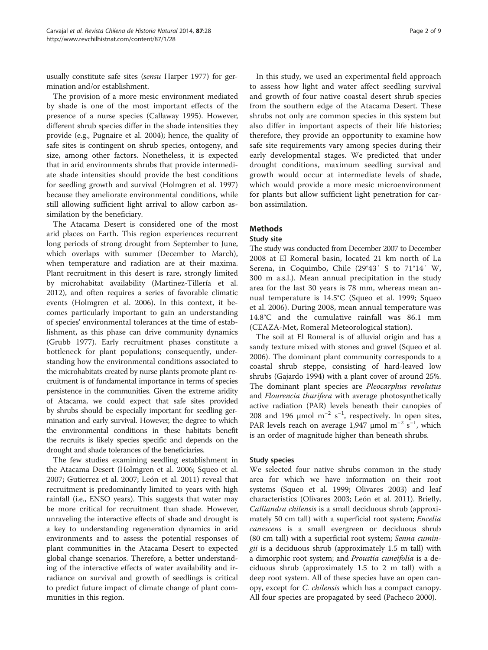usually constitute safe sites (sensu Harper [1977](#page-7-0)) for germination and/or establishment.

The provision of a more mesic environment mediated by shade is one of the most important effects of the presence of a nurse species (Callaway [1995\)](#page-7-0). However, different shrub species differ in the shade intensities they provide (e.g., Pugnaire et al. [2004](#page-8-0)); hence, the quality of safe sites is contingent on shrub species, ontogeny, and size, among other factors. Nonetheless, it is expected that in arid environments shrubs that provide intermediate shade intensities should provide the best conditions for seedling growth and survival (Holmgren et al. [1997](#page-8-0)) because they ameliorate environmental conditions, while still allowing sufficient light arrival to allow carbon assimilation by the beneficiary.

The Atacama Desert is considered one of the most arid places on Earth. This region experiences recurrent long periods of strong drought from September to June, which overlaps with summer (December to March), when temperature and radiation are at their maxima. Plant recruitment in this desert is rare, strongly limited by microhabitat availability (Martinez-Tillería et al. [2012](#page-8-0)), and often requires a series of favorable climatic events (Holmgren et al. [2006](#page-8-0)). In this context, it becomes particularly important to gain an understanding of species' environmental tolerances at the time of establishment, as this phase can drive community dynamics (Grubb [1977](#page-7-0)). Early recruitment phases constitute a bottleneck for plant populations; consequently, understanding how the environmental conditions associated to the microhabitats created by nurse plants promote plant recruitment is of fundamental importance in terms of species persistence in the communities. Given the extreme aridity of Atacama, we could expect that safe sites provided by shrubs should be especially important for seedling germination and early survival. However, the degree to which the environmental conditions in these habitats benefit the recruits is likely species specific and depends on the drought and shade tolerances of the beneficiaries.

The few studies examining seedling establishment in the Atacama Desert (Holmgren et al. [2006;](#page-8-0) Squeo et al. [2007](#page-8-0); Gutierrez et al. [2007](#page-7-0); León et al. [2011](#page-8-0)) reveal that recruitment is predominantly limited to years with high rainfall (i.e., ENSO years). This suggests that water may be more critical for recruitment than shade. However, unraveling the interactive effects of shade and drought is a key to understanding regeneration dynamics in arid environments and to assess the potential responses of plant communities in the Atacama Desert to expected global change scenarios. Therefore, a better understanding of the interactive effects of water availability and irradiance on survival and growth of seedlings is critical to predict future impact of climate change of plant communities in this region.

In this study, we used an experimental field approach to assess how light and water affect seedling survival and growth of four native coastal desert shrub species from the southern edge of the Atacama Desert. These shrubs not only are common species in this system but also differ in important aspects of their life histories; therefore, they provide an opportunity to examine how safe site requirements vary among species during their early developmental stages. We predicted that under drought conditions, maximum seedling survival and growth would occur at intermediate levels of shade, which would provide a more mesic microenvironment for plants but allow sufficient light penetration for carbon assimilation.

## Methods

## Study site

The study was conducted from December 2007 to December 2008 at El Romeral basin, located 21 km north of La Serena, in Coquimbo, Chile (29°43′ S to 71°14′ W, 300 m a.s.l.). Mean annual precipitation in the study area for the last 30 years is 78 mm, whereas mean annual temperature is 14.5°C (Squeo et al. [1999](#page-8-0); Squeo et al. [2006](#page-8-0)). During 2008, mean annual temperature was 14.8°C and the cumulative rainfall was 86.1 mm (CEAZA-Met, Romeral Meteorological station).

The soil at El Romeral is of alluvial origin and has a sandy texture mixed with stones and gravel (Squeo et al. [2006](#page-8-0)). The dominant plant community corresponds to a coastal shrub steppe, consisting of hard-leaved low shrubs (Gajardo [1994](#page-7-0)) with a plant cover of around 25%. The dominant plant species are Pleocarphus revolutus and Flourencia thurifera with average photosynthetically active radiation (PAR) levels beneath their canopies of 208 and 196 μmol m<sup>-2</sup> s<sup>-1</sup>, respectively. In open sites, PAR levels reach on average 1,947 µmol m<sup>-2</sup> s<sup>-1</sup>, which is an order of magnitude higher than beneath shrubs.

## Study species

We selected four native shrubs common in the study area for which we have information on their root systems (Squeo et al. [1999;](#page-8-0) Olivares [2003\)](#page-8-0) and leaf characteristics (Olivares [2003;](#page-8-0) León et al. [2011\)](#page-8-0). Briefly, Calliandra chilensis is a small deciduous shrub (approximately 50 cm tall) with a superficial root system; *Encelia* canescens is a small evergreen or deciduous shrub (80 cm tall) with a superficial root system; Senna cumingii is a deciduous shrub (approximately 1.5 m tall) with a dimorphic root system; and *Proustia cuneifolia* is a deciduous shrub (approximately 1.5 to 2 m tall) with a deep root system. All of these species have an open canopy, except for *C. chilensis* which has a compact canopy. All four species are propagated by seed (Pacheco [2000\)](#page-8-0).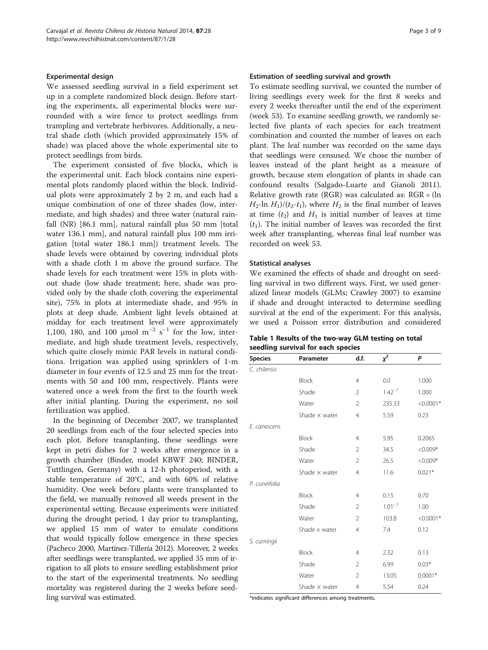#### <span id="page-2-0"></span>Experimental design

We assessed seedling survival in a field experiment set up in a complete randomized block design. Before starting the experiments, all experimental blocks were surrounded with a wire fence to protect seedlings from trampling and vertebrate herbivores. Additionally, a neutral shade cloth (which provided approximately 15% of shade) was placed above the whole experimental site to protect seedlings from birds.

The experiment consisted of five blocks, which is the experimental unit. Each block contains nine experimental plots randomly placed within the block. Individual plots were approximately 2 by 2 m, and each had a unique combination of one of three shades (low, intermediate, and high shades) and three water (natural rainfall (NR) [86.1 mm], natural rainfall plus 50 mm [total water 136.1 mm], and natural rainfall plus 100 mm irrigation [total water 186.1 mm]) treatment levels. The shade levels were obtained by covering individual plots with a shade cloth 1 m above the ground surface. The shade levels for each treatment were 15% in plots without shade (low shade treatment; here, shade was provided only by the shade cloth covering the experimental site), 75% in plots at intermediate shade, and 95% in plots at deep shade. Ambient light levels obtained at midday for each treatment level were approximately 1,100, 180, and 100 µmol  $m^{-2}$  s<sup>-1</sup> for the low, intermediate, and high shade treatment levels, respectively, which quite closely mimic PAR levels in natural conditions. Irrigation was applied using sprinklers of 1-m diameter in four events of 12.5 and 25 mm for the treatments with 50 and 100 mm, respectively. Plants were watered once a week from the first to the fourth week after initial planting. During the experiment, no soil fertilization was applied.

In the beginning of December 2007, we transplanted 20 seedlings from each of the four selected species into each plot. Before transplanting, these seedlings were kept in petri dishes for 2 weeks after emergence in a growth chamber (Binder, model KBWF 240; BINDER, Tuttlingen, Germany) with a 12-h photoperiod, with a stable temperature of 20°C, and with 60% of relative humidity. One week before plants were transplanted to the field, we manually removed all weeds present in the experimental setting. Because experiments were initiated during the drought period, 1 day prior to transplanting, we applied 15 mm of water to emulate conditions that would typically follow emergence in these species (Pacheco [2000](#page-8-0), Martínez-Tillería [2012](#page-8-0)). Moreover, 2 weeks after seedlings were transplanted, we applied 35 mm of irrigation to all plots to ensure seedling establishment prior to the start of the experimental treatments. No seedling mortality was registered during the 2 weeks before seedling survival was estimated.

#### Estimation of seedling survival and growth

To estimate seedling survival, we counted the number of living seedlings every week for the first 8 weeks and every 2 weeks thereafter until the end of the experiment (week 53). To examine seedling growth, we randomly selected five plants of each species for each treatment combination and counted the number of leaves on each plant. The leaf number was recorded on the same days that seedlings were censused. We chose the number of leaves instead of the plant height as a measure of growth, because stem elongation of plants in shade can confound results (Salgado-Luarte and Gianoli [2011](#page-8-0)). Relative growth rate (RGR) was calculated as:  $RGR = (ln$  $H_2$ -ln  $H_1$ )/( $t_2$ - $t_1$ ), where  $H_2$  is the final number of leaves at time  $(t_2)$  and  $H_1$  is initial number of leaves at time  $(t_1)$ . The initial number of leaves was recorded the first week after transplanting, whereas final leaf number was recorded on week 53.

#### Statistical analyses

We examined the effects of shade and drought on seedling survival in two different ways. First, we used generalized linear models (GLMs; Crawley [2007\)](#page-7-0) to examine if shade and drought interacted to determine seedling survival at the end of the experiment. For this analysis, we used a Poisson error distribution and considered

| Table 1 Results of the two-way GLM testing on total |  |
|-----------------------------------------------------|--|
| seedling survival for each species                  |  |

| <b>Species</b> | Parameter            | d.f.           | $x^2$       | P           |
|----------------|----------------------|----------------|-------------|-------------|
| C. chilensis   |                      |                |             |             |
|                | Block                | $\overline{4}$ | 0.0         | 1.000       |
|                | Shade                | $\overline{2}$ | $1.42^{-7}$ | 1.000       |
|                | Water                | $\overline{2}$ | 235.33      | $< 0.0001*$ |
|                | Shade $\times$ water | $\overline{4}$ | 5.59        | 0.23        |
| E. canescens   |                      |                |             |             |
|                | Block                | $\overline{4}$ | 5.95        | 0.2065      |
|                | Shade                | $\overline{2}$ | 34.5        | $< 0.009*$  |
|                | Water                | $\overline{2}$ | 26.5        | $< 0.009*$  |
|                | Shade $\times$ water | $\overline{4}$ | 11.6        | $0.021*$    |
| P. cuneifolia  |                      |                |             |             |
|                | <b>Block</b>         | $\overline{4}$ | 0.15        | 0.70        |
|                | Shade                | $\overline{2}$ | $1.01^{-7}$ | 1.00        |
|                | Water                | $\overline{2}$ | 103.8       | $< 0.0001*$ |
|                | Shade x water        | $\overline{4}$ | 7.4         | 0.12        |
| S. cumingii    |                      |                |             |             |
|                | Block                | $\overline{4}$ | 2.32        | 0.13        |
|                | Shade                | $\overline{2}$ | 6.99        | $0.03*$     |
|                | Water                | $\overline{2}$ | 13.05       | $0.0001*$   |
|                | Shade $\times$ water | 4              | 5.54        | 0.24        |

\*indicates significant differences among treatments.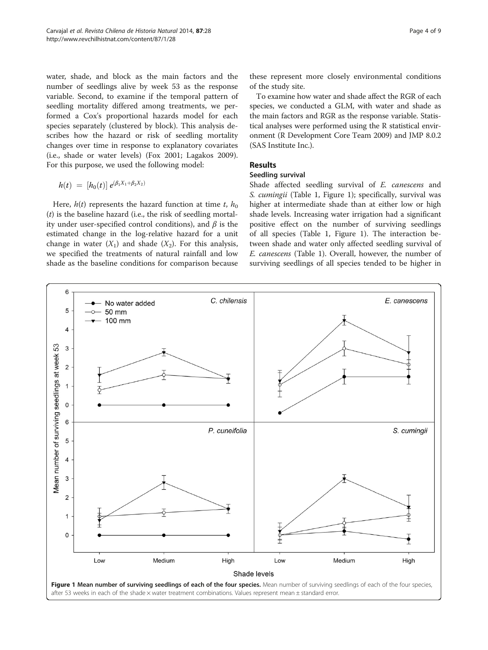<span id="page-3-0"></span>water, shade, and block as the main factors and the number of seedlings alive by week 53 as the response variable. Second, to examine if the temporal pattern of seedling mortality differed among treatments, we performed a Cox's proportional hazards model for each species separately (clustered by block). This analysis describes how the hazard or risk of seedling mortality changes over time in response to explanatory covariates (i.e., shade or water levels) (Fox [2001;](#page-7-0) Lagakos [2009](#page-8-0)). For this purpose, we used the following model:

$$
h(t) = [h_0(t)] e^{(\beta_1 X_1 + \beta_2 X_2)}
$$

Here,  $h(t)$  represents the hazard function at time t,  $h_0$  $(t)$  is the baseline hazard (i.e., the risk of seedling mortality under user-specified control conditions), and  $\beta$  is the estimated change in the log-relative hazard for a unit change in water  $(X_1)$  and shade  $(X_2)$ . For this analysis, we specified the treatments of natural rainfall and low shade as the baseline conditions for comparison because

these represent more closely environmental conditions of the study site.

To examine how water and shade affect the RGR of each species, we conducted a GLM, with water and shade as the main factors and RGR as the response variable. Statistical analyses were performed using the R statistical environment (R Development Core Team [2009](#page-8-0)) and JMP 8.0.2 (SAS Institute Inc.).

## Results

## Seedling survival

Shade affected seedling survival of E. canescens and S. cumingii (Table [1,](#page-2-0) Figure 1); specifically, survival was higher at intermediate shade than at either low or high shade levels. Increasing water irrigation had a significant positive effect on the number of surviving seedlings of all species (Table [1](#page-2-0), Figure 1). The interaction between shade and water only affected seedling survival of E. canescens (Table [1](#page-2-0)). Overall, however, the number of surviving seedlings of all species tended to be higher in

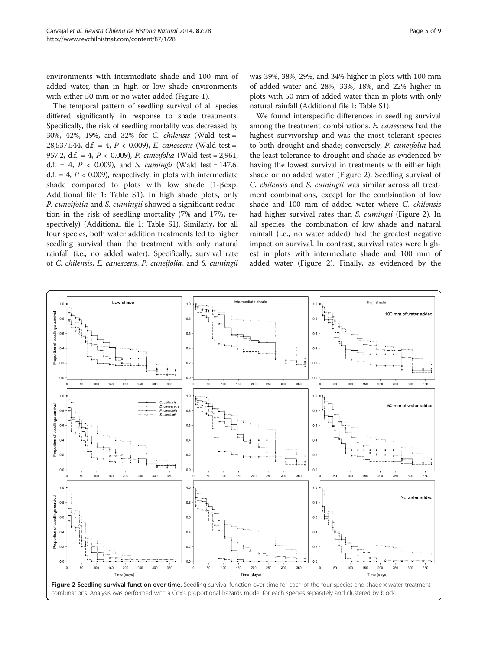<span id="page-4-0"></span>environments with intermediate shade and 100 mm of added water, than in high or low shade environments with either 50 mm or no water added (Figure [1\)](#page-3-0).

The temporal pattern of seedling survival of all species differed significantly in response to shade treatments. Specifically, the risk of seedling mortality was decreased by 30%, 42%, 19%, and 32% for C. chilensis (Wald test = 28,537,544, d.f. = 4, P < 0.009), E. canescens (Wald test = 957.2, d.f. = 4, P < 0.009), P. cuneifolia (Wald test = 2,961, d.f. = 4,  $P$  < 0.009), and *S. cumingii* (Wald test = 147.6, d.f. = 4,  $P$  < 0.009), respectively, in plots with intermediate shade compared to plots with low shade (1-βexp, Additional file [1:](#page-7-0) Table S1). In high shade plots, only P. cuneifolia and S. cumingii showed a significant reduction in the risk of seedling mortality (7% and 17%, respectively) (Additional file [1](#page-7-0): Table S1). Similarly, for all four species, both water addition treatments led to higher seedling survival than the treatment with only natural rainfall (i.e., no added water). Specifically, survival rate of C. chilensis, E. canescens, P. cuneifolia, and S. cumingii was 39%, 38%, 29%, and 34% higher in plots with 100 mm of added water and 28%, 33%, 18%, and 22% higher in plots with 50 mm of added water than in plots with only natural rainfall (Additional file [1](#page-7-0): Table S1).

We found interspecific differences in seedling survival among the treatment combinations. E. canescens had the highest survivorship and was the most tolerant species to both drought and shade; conversely, P. cuneifolia had the least tolerance to drought and shade as evidenced by having the lowest survival in treatments with either high shade or no added water (Figure 2). Seedling survival of C. chilensis and S. cumingii was similar across all treatment combinations, except for the combination of low shade and 100 mm of added water where C. chilensis had higher survival rates than S. *cumingii* (Figure 2). In all species, the combination of low shade and natural rainfall (i.e., no water added) had the greatest negative impact on survival. In contrast, survival rates were highest in plots with intermediate shade and 100 mm of added water (Figure 2). Finally, as evidenced by the

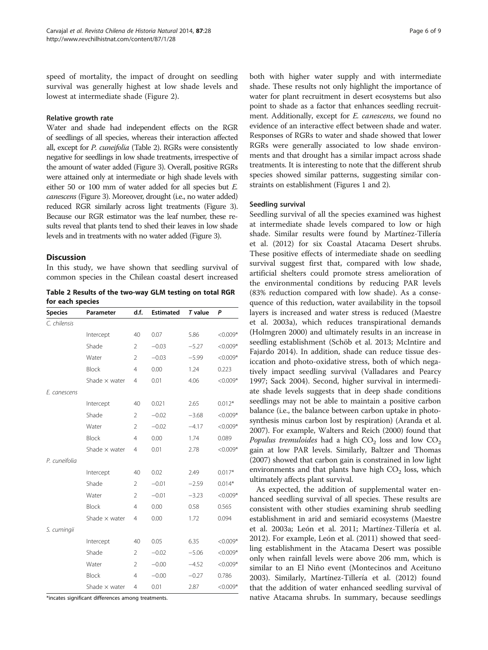speed of mortality, the impact of drought on seedling survival was generally highest at low shade levels and lowest at intermediate shade (Figure [2](#page-4-0)).

#### Relative growth rate

Water and shade had independent effects on the RGR of seedlings of all species, whereas their interaction affected all, except for P. cuneifolia (Table 2). RGRs were consistently negative for seedlings in low shade treatments, irrespective of the amount of water added (Figure [3](#page-6-0)). Overall, positive RGRs were attained only at intermediate or high shade levels with either 50 or 100 mm of water added for all species but E. canescens (Figure [3\)](#page-6-0). Moreover, drought (i.e., no water added) reduced RGR similarly across light treatments (Figure [3\)](#page-6-0). Because our RGR estimator was the leaf number, these results reveal that plants tend to shed their leaves in low shade levels and in treatments with no water added (Figure [3](#page-6-0)).

## **Discussion**

In this study, we have shown that seedling survival of common species in the Chilean coastal desert increased

Table 2 Results of the two-way GLM testing on total RGR for each species

| <b>Species</b> | Parameter            | d.f.           | <b>Estimated</b> | T value | P          |
|----------------|----------------------|----------------|------------------|---------|------------|
| C. chilensis   |                      |                |                  |         |            |
|                | Intercept            | 40             | 0.07             | 5.86    | $< 0.009*$ |
|                | Shade                | $\overline{2}$ | $-0.03$          | $-5.27$ | $< 0.009*$ |
|                | Water                | $\overline{2}$ | $-0.03$          | $-5.99$ | $< 0.009*$ |
|                | Block                | $\overline{4}$ | 0.00             | 1.24    | 0.223      |
|                | Shade $\times$ water | $\overline{4}$ | 0.01             | 4.06    | $< 0.009*$ |
| E. canescens   |                      |                |                  |         |            |
|                | Intercept            | 40             | 0.021            | 2.65    | $0.012*$   |
|                | Shade                | $\mathfrak{D}$ | $-0.02$          | $-3.68$ | $< 0.009*$ |
|                | Water                | $\overline{2}$ | $-0.02$          | $-4.17$ | $< 0.009*$ |
|                | Block                | $\overline{4}$ | 0.00             | 1.74    | 0.089      |
|                | Shade $\times$ water | $\overline{4}$ | 0.01             | 2.78    | $< 0.009*$ |
| P. cuneifolia  |                      |                |                  |         |            |
|                | Intercept            | 40             | 0.02             | 2.49    | $0.017*$   |
|                | Shade                | $\overline{2}$ | $-0.01$          | $-2.59$ | $0.014*$   |
|                | Water                | $\overline{2}$ | $-0.01$          | $-3.23$ | $< 0.009*$ |
|                | Block                | $\overline{4}$ | 0.00             | 0.58    | 0.565      |
|                | Shade $\times$ water | $\overline{4}$ | 0.00             | 1.72    | 0.094      |
| S. cumingii    |                      |                |                  |         |            |
|                | Intercept            | 40             | 0.05             | 6.35    | $< 0.009*$ |
|                | Shade                | $\overline{2}$ | $-0.02$          | $-5.06$ | $< 0.009*$ |
|                | Water                | $\overline{2}$ | $-0.00$          | $-4.52$ | $< 0.009*$ |
|                | Block                | $\overline{4}$ | $-0.00$          | $-0.27$ | 0.786      |
|                | Shade $\times$ water | $\overline{4}$ | 0.01             | 2.87    | $< 0.009*$ |

\*incates significant differences among treatments.

both with higher water supply and with intermediate shade. These results not only highlight the importance of water for plant recruitment in desert ecosystems but also point to shade as a factor that enhances seedling recruitment. Additionally, except for E. canescens, we found no evidence of an interactive effect between shade and water. Responses of RGRs to water and shade showed that lower RGRs were generally associated to low shade environments and that drought has a similar impact across shade treatments. It is interesting to note that the different shrub species showed similar patterns, suggesting similar constraints on establishment (Figures [1](#page-3-0) and [2](#page-4-0)).

#### Seedling survival

Seedling survival of all the species examined was highest at intermediate shade levels compared to low or high shade. Similar results were found by Martínez-Tillería et al. [\(2012\)](#page-8-0) for six Coastal Atacama Desert shrubs. These positive effects of intermediate shade on seedling survival suggest first that, compared with low shade, artificial shelters could promote stress amelioration of the environmental conditions by reducing PAR levels (83% reduction compared with low shade). As a consequence of this reduction, water availability in the topsoil layers is increased and water stress is reduced (Maestre et al. [2003a](#page-8-0)), which reduces transpirational demands (Holmgren [2000](#page-8-0)) and ultimately results in an increase in seedling establishment (Schöb et al. [2013;](#page-8-0) McIntire and Fajardo [2014](#page-8-0)). In addition, shade can reduce tissue desiccation and photo-oxidative stress, both of which negatively impact seedling survival (Valladares and Pearcy [1997](#page-8-0); Sack [2004\)](#page-8-0). Second, higher survival in intermediate shade levels suggests that in deep shade conditions seedlings may not be able to maintain a positive carbon balance (i.e., the balance between carbon uptake in photosynthesis minus carbon lost by respiration) (Aranda et al. [2007](#page-7-0)). For example, Walters and Reich [\(2000](#page-8-0)) found that Populus tremuloides had a high  $CO<sub>2</sub>$  loss and low  $CO<sub>2</sub>$ gain at low PAR levels. Similarly, Baltzer and Thomas ([2007](#page-7-0)) showed that carbon gain is constrained in low light environments and that plants have high  $CO<sub>2</sub>$  loss, which ultimately affects plant survival.

As expected, the addition of supplemental water enhanced seedling survival of all species. These results are consistent with other studies examining shrub seedling establishment in arid and semiarid ecosystems (Maestre et al. [2003a;](#page-8-0) León et al. [2011;](#page-8-0) Martínez-Tillería et al. [2012](#page-8-0)). For example, León et al. [\(2011\)](#page-8-0) showed that seedling establishment in the Atacama Desert was possible only when rainfall levels were above 206 mm, which is similar to an El Niño event (Montecinos and Aceituno [2003](#page-8-0)). Similarly, Martínez-Tillería et al. [\(2012\)](#page-8-0) found that the addition of water enhanced seedling survival of native Atacama shrubs. In summary, because seedlings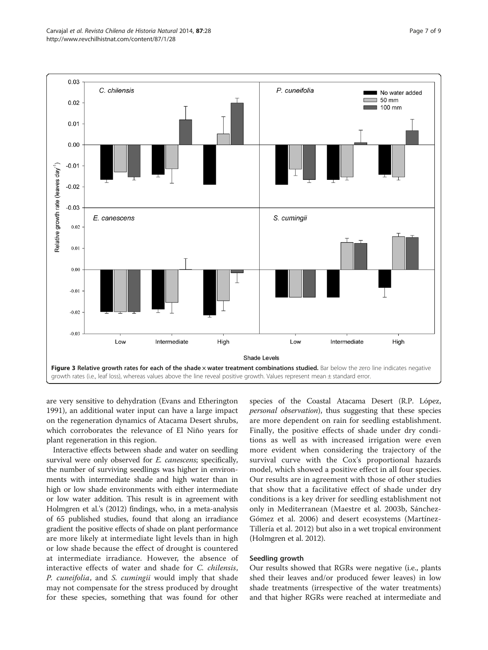<span id="page-6-0"></span>

are very sensitive to dehydration (Evans and Etherington [1991](#page-7-0)), an additional water input can have a large impact on the regeneration dynamics of Atacama Desert shrubs, which corroborates the relevance of El Niño years for plant regeneration in this region.

Interactive effects between shade and water on seedling survival were only observed for *E. canescens*; specifically, the number of surviving seedlings was higher in environments with intermediate shade and high water than in high or low shade environments with either intermediate or low water addition. This result is in agreement with Holmgren et al.'s [\(2012\)](#page-8-0) findings, who, in a meta-analysis of 65 published studies, found that along an irradiance gradient the positive effects of shade on plant performance are more likely at intermediate light levels than in high or low shade because the effect of drought is countered at intermediate irradiance. However, the absence of interactive effects of water and shade for C. chilensis, P. cuneifolia, and S. cumingii would imply that shade may not compensate for the stress produced by drought for these species, something that was found for other

species of the Coastal Atacama Desert (R.P. López, personal observation), thus suggesting that these species are more dependent on rain for seedling establishment. Finally, the positive effects of shade under dry conditions as well as with increased irrigation were even more evident when considering the trajectory of the survival curve with the Cox's proportional hazards model, which showed a positive effect in all four species. Our results are in agreement with those of other studies that show that a facilitative effect of shade under dry conditions is a key driver for seedling establishment not only in Mediterranean (Maestre et al. [2003b,](#page-8-0) Sánchez-Gómez et al. [2006](#page-8-0)) and desert ecosystems (Martínez-Tillería et al. [2012](#page-8-0)) but also in a wet tropical environment (Holmgren et al. [2012\)](#page-8-0).

#### Seedling growth

Our results showed that RGRs were negative (i.e., plants shed their leaves and/or produced fewer leaves) in low shade treatments (irrespective of the water treatments) and that higher RGRs were reached at intermediate and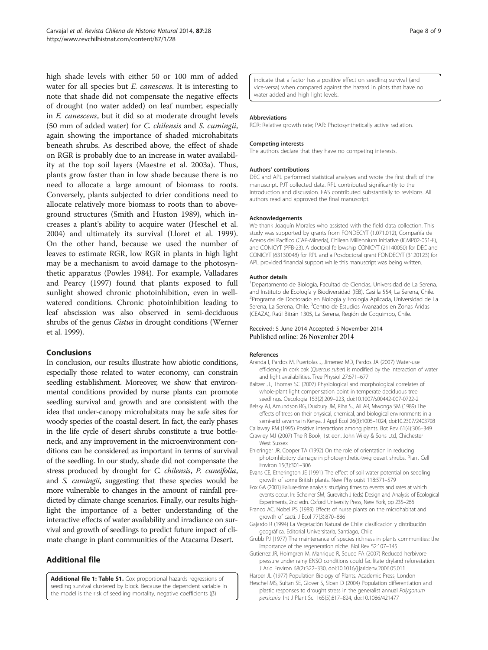<span id="page-7-0"></span>high shade levels with either 50 or 100 mm of added water for all species but *E. canescens*. It is interesting to note that shade did not compensate the negative effects of drought (no water added) on leaf number, especially in E. canescens, but it did so at moderate drought levels (50 mm of added water) for C. chilensis and S. cumingii, again showing the importance of shaded microhabitats beneath shrubs. As described above, the effect of shade on RGR is probably due to an increase in water availability at the top soil layers (Maestre et al. [2003a](#page-8-0)). Thus, plants grow faster than in low shade because there is no need to allocate a large amount of biomass to roots. Conversely, plants subjected to drier conditions need to allocate relatively more biomass to roots than to aboveground structures (Smith and Huston [1989\)](#page-8-0), which increases a plant's ability to acquire water (Heschel et al. 2004) and ultimately its survival (Lloret et al. [1999](#page-8-0)). On the other hand, because we used the number of leaves to estimate RGR, low RGR in plants in high light may be a mechanism to avoid damage to the photosynthetic apparatus (Powles [1984](#page-8-0)). For example, Valladares and Pearcy [\(1997](#page-8-0)) found that plants exposed to full sunlight showed chronic photoinhibition, even in wellwatered conditions. Chronic photoinhibition leading to leaf abscission was also observed in semi-deciduous shrubs of the genus *Cistus* in drought conditions (Werner et al. [1999](#page-8-0)).

## Conclusions

In conclusion, our results illustrate how abiotic conditions, especially those related to water economy, can constrain seedling establishment. Moreover, we show that environmental conditions provided by nurse plants can promote seedling survival and growth and are consistent with the idea that under-canopy microhabitats may be safe sites for woody species of the coastal desert. In fact, the early phases in the life cycle of desert shrubs constitute a true bottleneck, and any improvement in the microenvironment conditions can be considered as important in terms of survival of the seedling. In our study, shade did not compensate the stress produced by drought for C. chilensis, P. cuneifolia, and S. cumingii, suggesting that these species would be more vulnerable to changes in the amount of rainfall predicted by climate change scenarios. Finally, our results highlight the importance of a better understanding of the interactive effects of water availability and irradiance on survival and growth of seedlings to predict future impact of climate change in plant communities of the Atacama Desert.

## Additional file

[Additional file 1: Table S1.](http://www.revchilhistnat.com/content/supplementary/s40693-014-0028-9-s1.docx) Cox proportional hazards regressions of seedling survival clustered by block. Because the dependent variable in the model is the risk of seedling mortality, negative coefficients (β)

indicate that a factor has a positive effect on seedling survival (and vice-versa) when compared against the hazard in plots that have no water added and high light levels.

#### Abbreviations

RGR: Relative growth rate; PAR: Photosynthetically active radiation.

#### Competing interests

The authors declare that they have no competing interests.

#### Authors' contributions

DEC and APL performed statistical analyses and wrote the first draft of the manuscript. PJT collected data. RPL contributed significantly to the introduction and discussion. FAS contributed substantially to revisions. All authors read and approved the final manuscript.

#### Acknowledgements

We thank Joaquín Morales who assisted with the field data collection. This study was supported by grants from FONDECYT (1.071.012), Compañía de Aceros del Pacífico (CAP-Minería), Chilean Millennium Initiative (ICMP02-051-F), and CONICYT (PFB-23). A doctoral fellowship CONICYT (21140050) for DEC and CONICYT (63130048) for RPL and a Posdoctoral grant FONDECYT (3120123) for APL provided financial support while this manuscript was being written.

#### Author details

<sup>1</sup>Departamento de Biología, Facultad de Ciencias, Universidad de La Serena, and Instituto de Ecología y Biodiversidad (IEB), Casilla 554, La Serena, Chile. <sup>2</sup>Programa de Doctorado en Biología y Ecología Aplicada, Universidad de La Serena, La Serena, Chile. <sup>3</sup>Centro de Estudios Avanzados en Zonas Áridas (CEAZA), Raúl Bitrán 1305, La Serena, Región de Coquimbo, Chile.

#### Received: 5 June 2014 Accepted: 5 November 2014 Published online: 26 November 2014

#### References

- Aranda I, Pardos M, Puertolas J, Jimenez MD, Pardos JA (2007) Water-use efficiency in cork oak (Quercus suber) is modified by the interaction of water and light availabilities. Tree Physiol 27:671–677
- Baltzer JL, Thomas SC (2007) Physiological and morphological correlates of whole-plant light compensation point in temperate deciduous tree seedlings. Oecologia 153(2):209–223, doi:10.1007/s00442-007-0722-2

Belsky AJ, Amundson RG, Duxbury JM, Riha SJ, Ali AR, Mwonga SM (1989) The effects of trees on their physical, chemical, and biological environments in a semi-arid savanna in Kenya. J Appl Ecol 26(3):1005–1024, doi:10.2307/2403708

- Callaway RM (1995) Positive interactions among plants. Bot Rev 61(4):306–349 Crawley MJ (2007) The R Book, 1st edn. John Wiley & Sons Ltd, Chichester West Sussex
- Ehleringer JR, Cooper TA (1992) On the role of orientation in reducing photoinhibitory damage in photosynthetic-twig desert shrubs. Plant Cell Environ 15(3):301–306
- Evans CE, Etherington JE (1991) The effect of soil water potential on seedling growth of some British plants. New Phylogist 118:571–579

Fox GA (2001) Failure-time analysis: studying times to events and rates at which events occur. In: Scheiner SM, Gurevitch J (eds) Design and Analysis of Ecological Experiments, 2nd edn. Oxford University Press, New York, pp 235–266

- Franco AC, Nobel PS (1989) Effects of nurse plants on the microhabitat and growth of cacti. J Ecol 77(3):870–886
- Gajardo R (1994) La Vegetación Natural de Chile: clasificación y distribución geográfica. Editorial Universitaria, Santiago, Chile
- Grubb PJ (1977) The maintenance of species richness in plants communities: the importance of the regeneration niche. Biol Rev 52:107–145
- Gutierrez JR, Holmgren M, Manrique R, Squeo FA (2007) Reduced herbivore pressure under rainy ENSO conditions could facilitate dryland reforestation. J Arid Environ 68(2):322–330, doi:10.1016/j.jaridenv.2006.05.011

Harper JL (1977) Population Biology of Plants. Academic Press, London Heschel MS, Sultan SE, Glover S, Sloan D (2004) Population differentiation and plastic responses to drought stress in the generalist annual Polygonum persicaria. Int J Plant Sci 165(5):817–824, doi:10.1086/421477